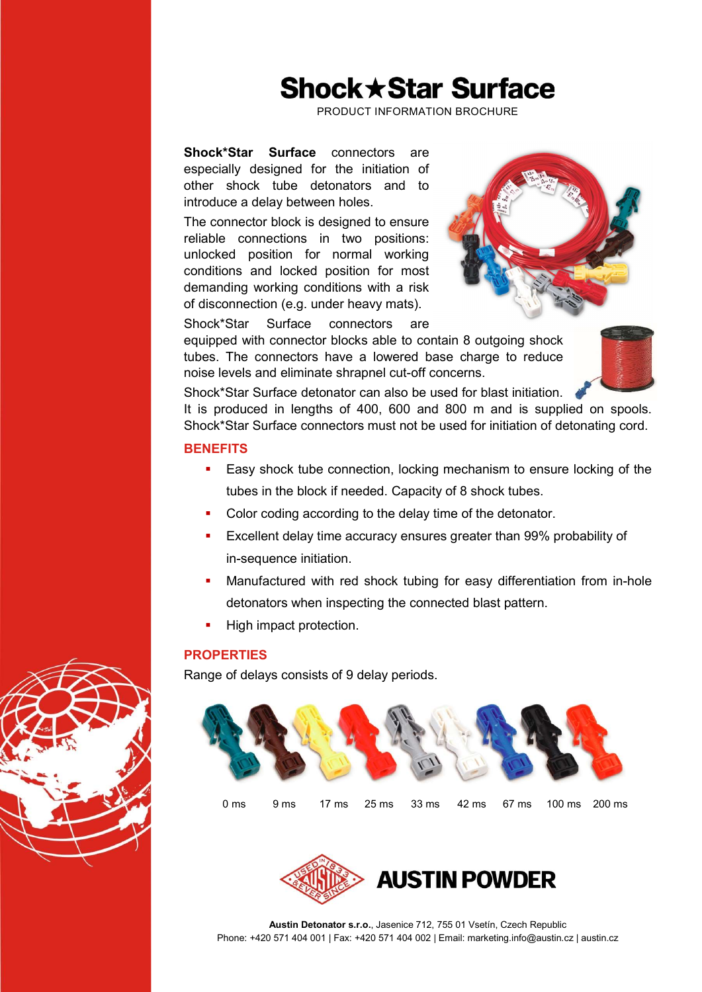# **Shock ★ Star Surface**

PRODUCT INFORMATION BROCHURE

Shock\*Star Surface connectors are especially designed for the initiation of other shock tube detonators and to introduce a delay between holes.

The connector block is designed to ensure reliable connections in two positions: unlocked position for normal working conditions and locked position for most demanding working conditions with a risk of disconnection (e.g. under heavy mats).



Shock\*Star Surface connectors are

equipped with connector blocks able to contain 8 outgoing shock tubes. The connectors have a lowered base charge to reduce noise levels and eliminate shrapnel cut-off concerns.

Shock\*Star Surface detonator can also be used for blast initiation.

It is produced in lengths of 400, 600 and 800 m and is supplied on spools. Shock\*Star Surface connectors must not be used for initiation of detonating cord.

### **BENEFITS**

- **Easy shock tube connection, locking mechanism to ensure locking of the** tubes in the block if needed. Capacity of 8 shock tubes.
- Color coding according to the delay time of the detonator.
- Excellent delay time accuracy ensures greater than 99% probability of in-sequence initiation.
- Manufactured with red shock tubing for easy differentiation from in-hole detonators when inspecting the connected blast pattern.
- High impact protection.

### **PROPERTIES**

Range of delays consists of 9 delay periods.





Austin Detonator s.r.o., Jasenice 712, 755 01 Vsetín, Czech Republic Phone: +420 571 404 001 | Fax: +420 571 404 002 | Email: marketing.info@austin.cz | austin.cz